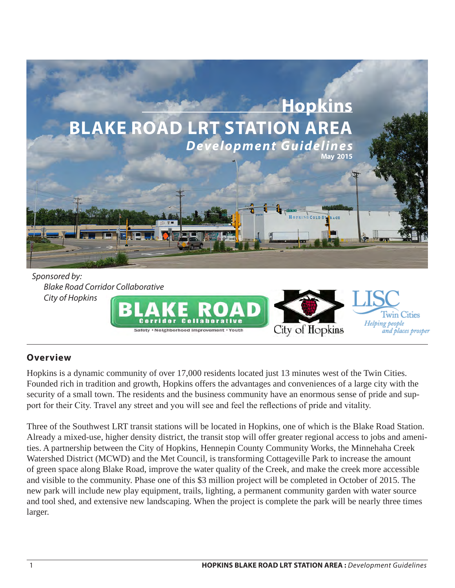

#### *Sponsored by: Blake Road Corridor Collaborative City of Hopkins*



## **Overview**

Hopkins is a dynamic community of over 17,000 residents located just 13 minutes west of the Twin Cities. Founded rich in tradition and growth, Hopkins offers the advantages and conveniences of a large city with the security of a small town. The residents and the business community have an enormous sense of pride and support for their City. Travel any street and you will see and feel the reflections of pride and vitality.

Three of the Southwest LRT transit stations will be located in Hopkins, one of which is the Blake Road Station. Already a mixed-use, higher density district, the transit stop will offer greater regional access to jobs and amenities. A partnership between the City of Hopkins, Hennepin County Community Works, the Minnehaha Creek Watershed District (MCWD) and the Met Council, is transforming Cottageville Park to increase the amount of green space along Blake Road, improve the water quality of the Creek, and make the creek more accessible and visible to the community. Phase one of this \$3 million project will be completed in October of 2015. The new park will include new play equipment, trails, lighting, a permanent community garden with water source and tool shed, and extensive new landscaping. When the project is complete the park will be nearly three times larger.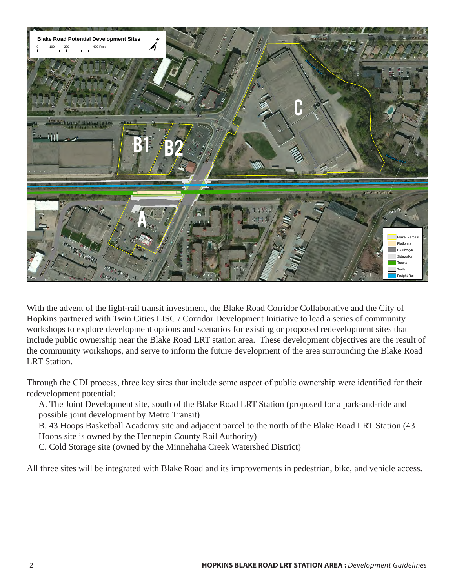

With the advent of the light-rail transit investment, the Blake Road Corridor Collaborative and the City of Hopkins partnered with Twin Cities LISC / Corridor Development Initiative to lead a series of community workshops to explore development options and scenarios for existing or proposed redevelopment sites that include public ownership near the Blake Road LRT station area. These development objectives are the result of the community workshops, and serve to inform the future development of the area surrounding the Blake Road LRT Station.

Through the CDI process, three key sites that include some aspect of public ownership were identified for their redevelopment potential:

A. The Joint Development site, south of the Blake Road LRT Station (proposed for a park-and-ride and possible joint development by Metro Transit)

B. 43 Hoops Basketball Academy site and adjacent parcel to the north of the Blake Road LRT Station (43 Hoops site is owned by the Hennepin County Rail Authority)

C. Cold Storage site (owned by the Minnehaha Creek Watershed District)

All three sites will be integrated with Blake Road and its improvements in pedestrian, bike, and vehicle access.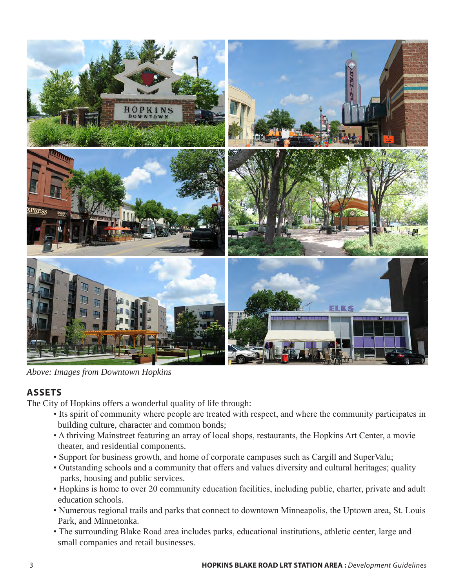

*Above: Images from Downtown Hopkins*

## **ASSETS**

The City of Hopkins offers a wonderful quality of life through:

- Its spirit of community where people are treated with respect, and where the community participates in building culture, character and common bonds;
- A thriving Mainstreet featuring an array of local shops, restaurants, the Hopkins Art Center, a movie theater, and residential components.
- Support for business growth, and home of corporate campuses such as Cargill and SuperValu;
- Outstanding schools and a community that offers and values diversity and cultural heritages; quality parks, housing and public services.
- Hopkins is home to over 20 community education facilities, including public, charter, private and adult education schools.
- Numerous regional trails and parks that connect to downtown Minneapolis, the Uptown area, St. Louis Park, and Minnetonka.
- The surrounding Blake Road area includes parks, educational institutions, athletic center, large and small companies and retail businesses.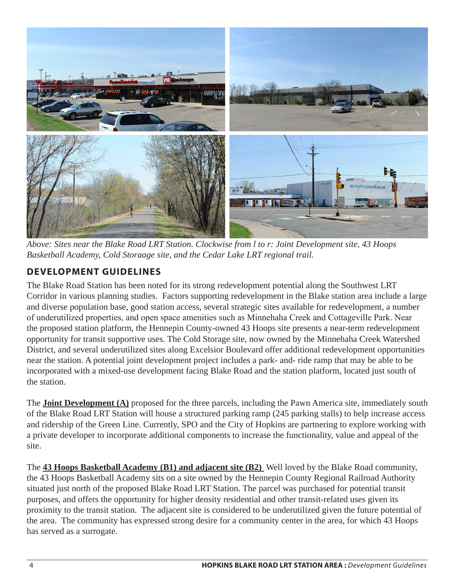

*Above: Sites near the Blake Road LRT Station. Clockwise from l to r: Joint Development site, 43 Hoops Basketball Academy, Cold Storaage site, and the Cedar Lake LRT regional trail.*

# **DEVELOPMENT GUIDELINES**

The Blake Road Station has been noted for its strong redevelopment potential along the Southwest LRT Corridor in various planning studies. Factors supporting redevelopment in the Blake station area include a large and diverse population base, good station access, several strategic sites available for redevelopment, a number of underutilized properties, and open space amenities such as Minnehaha Creek and Cottageville Park. Near the proposed station platform, the Hennepin County-owned 43 Hoops site presents a near-term redevelopment opportunity for transit supportive uses. The Cold Storage site, now owned by the Minnehaha Creek Watershed District, and several underutilized sites along Excelsior Boulevard offer additional redevelopment opportunities near the station. A potential joint development project includes a park- and- ride ramp that may be able to be incorporated with a mixed-use development facing Blake Road and the station platform, located just south of the station.

The **Joint Development (A)** proposed for the three parcels, including the Pawn America site, immediately south of the Blake Road LRT Station will house a structured parking ramp (245 parking stalls) to help increase access and ridership of the Green Line. Currently, SPO and the City of Hopkins are partnering to explore working with a private developer to incorporate additional components to increase the functionality, value and appeal of the site.

The **43 Hoops Basketball Academy (B1) and adjacent site (B2)** Well loved by the Blake Road community, the 43 Hoops Basketball Academy sits on a site owned by the Hennepin County Regional Railroad Authority situated just north of the proposed Blake Road LRT Station. The parcel was purchased for potential transit purposes, and offers the opportunity for higher density residential and other transit-related uses given its proximity to the transit station. The adjacent site is considered to be underutilized given the future potential of the area. The community has expressed strong desire for a community center in the area, for which 43 Hoops has served as a surrogate.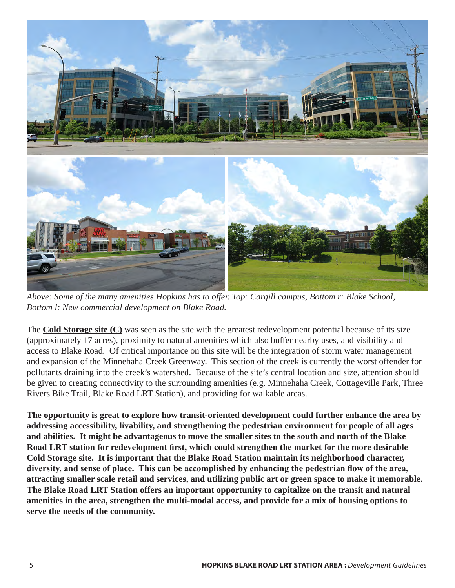

*Above: Some of the many amenities Hopkins has to offer. Top: Cargill campus, Bottom r: Blake School, Bottom l: New commercial development on Blake Road.*

The **Cold Storage site (C)** was seen as the site with the greatest redevelopment potential because of its size (approximately 17 acres), proximity to natural amenities which also buffer nearby uses, and visibility and access to Blake Road. Of critical importance on this site will be the integration of storm water management and expansion of the Minnehaha Creek Greenway. This section of the creek is currently the worst offender for pollutants draining into the creek's watershed. Because of the site's central location and size, attention should be given to creating connectivity to the surrounding amenities (e.g. Minnehaha Creek, Cottageville Park, Three Rivers Bike Trail, Blake Road LRT Station), and providing for walkable areas.

**The opportunity is great to explore how transit-oriented development could further enhance the area by addressing accessibility, livability, and strengthening the pedestrian environment for people of all ages and abilities. It might be advantageous to move the smaller sites to the south and north of the Blake Road LRT station for redevelopment first, which could strengthen the market for the more desirable Cold Storage site. It is important that the Blake Road Station maintain its neighborhood character, diversity, and sense of place. This can be accomplished by enhancing the pedestrian flow of the area, attracting smaller scale retail and services, and utilizing public art or green space to make it memorable. The Blake Road LRT Station offers an important opportunity to capitalize on the transit and natural amenities in the area, strengthen the multi-modal access, and provide for a mix of housing options to serve the needs of the community.**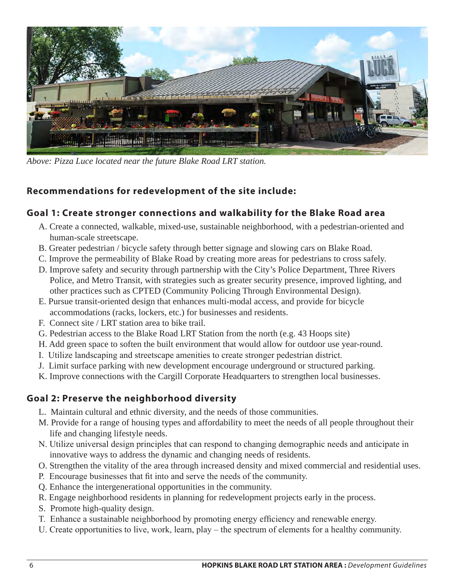

*Above: Pizza Luce located near the future Blake Road LRT station.*

## **Recommendations for redevelopment of the site include:**

#### **Goal 1: Create stronger connections and walkability for the Blake Road area**

- A. Create a connected, walkable, mixed-use, sustainable neighborhood, with a pedestrian-oriented and human-scale streetscape.
- B. Greater pedestrian / bicycle safety through better signage and slowing cars on Blake Road.
- C. Improve the permeability of Blake Road by creating more areas for pedestrians to cross safely.
- D. Improve safety and security through partnership with the City's Police Department, Three Rivers Police, and Metro Transit, with strategies such as greater security presence, improved lighting, and other practices such as CPTED (Community Policing Through Environmental Design).
- E. Pursue transit-oriented design that enhances multi-modal access, and provide for bicycle accommodations (racks, lockers, etc.) for businesses and residents.
- F. Connect site / LRT station area to bike trail.
- G. Pedestrian access to the Blake Road LRT Station from the north (e.g. 43 Hoops site)
- H. Add green space to soften the built environment that would allow for outdoor use year-round.
- I. Utilize landscaping and streetscape amenities to create stronger pedestrian district.
- J. Limit surface parking with new development encourage underground or structured parking.
- K. Improve connections with the Cargill Corporate Headquarters to strengthen local businesses.

### **Goal 2: Preserve the neighborhood diversity**

- L. Maintain cultural and ethnic diversity, and the needs of those communities.
- M. Provide for a range of housing types and affordability to meet the needs of all people throughout their life and changing lifestyle needs.
- N. Utilize universal design principles that can respond to changing demographic needs and anticipate in innovative ways to address the dynamic and changing needs of residents.
- O. Strengthen the vitality of the area through increased density and mixed commercial and residential uses.
- P. Encourage businesses that fit into and serve the needs of the community.
- Q. Enhance the intergenerational opportunities in the community.
- R. Engage neighborhood residents in planning for redevelopment projects early in the process.
- S. Promote high-quality design.
- T. Enhance a sustainable neighborhood by promoting energy efficiency and renewable energy.
- U. Create opportunities to live, work, learn, play the spectrum of elements for a healthy community.